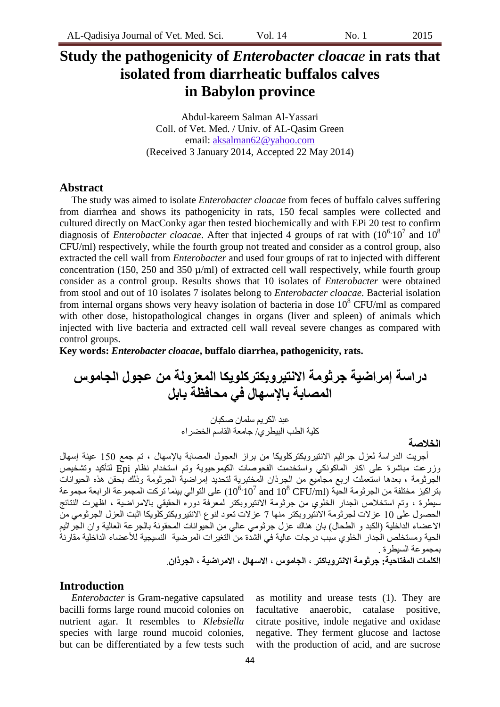# **Study the pathogenicity of** *Enterobacter cloacae* **in rats that isolated from diarrheatic buffalos calves in Babylon province**

Abdul-kareem Salman Al-Yassari Coll. of Vet. Med. / Univ. of AL-Qasim Green email: aksalman62@yahoo.com (Received 3 January 2014, Accepted 22 May 2014)

### **Abstract**

The study was aimed to isolate *Enterobacter cloacae* from feces of buffalo calves suffering from diarrhea and shows its pathogenicity in rats, 150 fecal samples were collected and cultured directly on MacConky agar then tested biochemically and with EPi 20 test to confirm diagnosis of *Enterobacter cloacae*. After that injected 4 groups of rat with  $(10^{6} \cdot 10^{7}$  and  $10^{8}$ CFU/ml) respectively, while the fourth group not treated and consider as a control group, also extracted the cell wall from *Enterobacter* and used four groups of rat to injected with different concentration (150, 250 and 350  $\mu$ /ml) of extracted cell wall respectively, while fourth group consider as a control group. Results shows that 10 isolates of *Enterobacter* were obtained from stool and out of 10 isolates 7 isolates belong to *Enterobacter cloacae*. Bacterial isolation from internal organs shows very heavy isolation of bacteria in dose  $10^8$  CFU/ml as compared with other dose, histopathological changes in organs (liver and spleen) of animals which injected with live bacteria and extracted cell wall reveal severe changes as compared with control groups.

**Key words:** *Enterobacter cloacae***, buffalo diarrhea, pathogenicity, rats.**

**دراسة إمراضية جرثىمة االوتيروبكتركهىيكا انمعزونة مه عجىل انجامىس انمصابة باإلسهال في محافظة بابم**

عبد الكريم سلمان صكبان كلية الطب البيطري/ جامعة القاسم الخضر اء

#### **انخالصة**

أجريت الدراسة لعزل جراثيم الانتيروبكتركلوبكا من براز العجول المصابة بالإسهال ، تم جمع 150 عينة إسهال وزرعت مباشرة على اكار الماكونكي واستخدمت الفحوصات الكيموحيوية وتم استخدام نظام Epi لتأكيد وتشخيص الجرثومة ، بعدها استعملت اربع مجاميع من الجرذان المختبرية لتحديد إمراضية الجرثومة وذلك بحقن هذه الحيوانات بتر اكيز مختلفة من الجرثومة الحية (10 $^{6,10^7}$  and  $10^8\,{\rm CFU/ml}$ ) على التوالي بينما تركت المجموعة الرابعة مجموعة سيطرة ، وتم استخلاص الجدار الخُلوي من جرثومة الانتيروبكتر لمعرفة دوره الحقيقي بالامراضية ، اظهرت النتائج الحصول على 10 عز لات لجرثومة الانتيروبكتر منها 7 عز لات تعود لنوع الانتيروبكتر كُلوبكا اثبت العزل الجرثومي منّ الاعضاء الداخلية (الكبد و الطحال) بان هناك عزل جرثومي عالى من الحيوانات المحقونة بالجرعة العالية وان الجراثيم الحية ومستخلص الجدار الخلوي سبب درجات عالية في الشدة من التغيّر ات المرضية النسيجية للأعضاء الداخلية مقاربة بمجمو عة السيطر ة .

# **انكهمات انمفتاحية: جرثىمة االوتروباكتر ، انجامىس ، االسهال ، االمراضية ، انجرذان**.

#### **Introduction**

*Enterobacter* is Gram-negative capsulated bacilli forms large round mucoid colonies on nutrient agar. It resembles to *Klebsiella* species with large round mucoid colonies, but can be differentiated by a few tests such

as motility and urease tests (1). They are facultative anaerobic, catalase positive, citrate positive, indole negative and oxidase negative. They ferment glucose and lactose with the production of acid, and are sucrose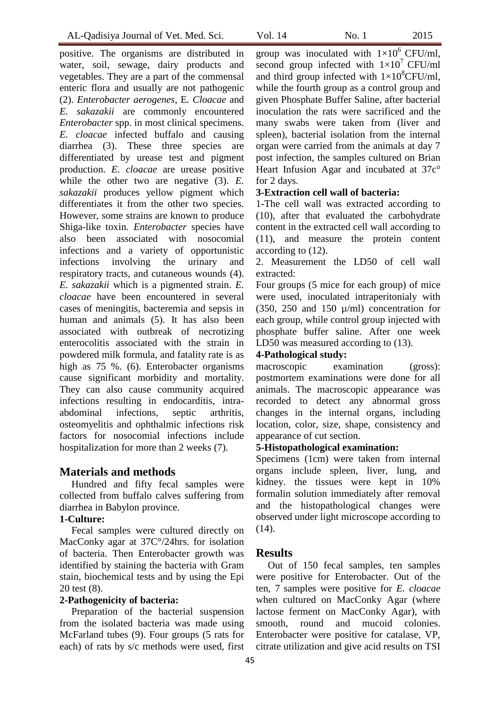positive. The organisms are distributed in water, soil, sewage, dairy products and vegetables. They are a part of the commensal enteric flora and usually are not pathogenic (2). *Enterobacter aerogenes*, E*. Cloacae* and *E. sakazakii* are commonly encountered *Enterobacter* spp. in most clinical specimens. *E. cloacae* infected buffalo and causing diarrhea (3). These three species are differentiated by urease test and pigment production. *E. cloacae* are urease positive while the other two are negative (3). *E*. *sakazakii* produces yellow pigment which differentiates it from the other two species. However, some strains are known to produce Shiga-like toxin*. Enterobacter* species have also been associated with nosocomial infections and a variety of opportunistic infections involving the urinary and respiratory tracts, and cutaneous wounds (4). *E. sakazakii* which is a pigmented strain. *E. cloacae* have been encountered in several cases of meningitis, bacteremia and sepsis in human and animals (5). It has also been associated with outbreak of necrotizing enterocolitis associated with the strain in powdered milk formula, and fatality rate is as high as 75 %. (6). Enterobacter organisms cause significant morbidity and mortality. They can also cause community acquired infections resulting in endocarditis, intraabdominal infections, septic arthritis, osteomyelitis and ophthalmic infections risk factors for nosocomial infections include hospitalization for more than 2 weeks (7).

### **Materials and methods**

Hundred and fifty fecal samples were collected from buffalo calves suffering from diarrhea in Babylon province.

#### **1-Culture:**

Fecal samples were cultured directly on MacConky agar at 37C°/24hrs. for isolation of bacteria. Then Enterobacter growth was identified by staining the bacteria with Gram stain, biochemical tests and by using the Epi 20 test (8).

## **2-Pathogenicity of bacteria:**

Preparation of the bacterial suspension from the isolated bacteria was made using McFarland tubes (9). Four groups (5 rats for each) of rats by s/c methods were used, first

group was inoculated with  $1\times10^6$  CFU/ml, second group infected with  $1\times10^{7}$  CFU/ml and third group infected with  $1\times10^{8}$ CFU/ml, while the fourth group as a control group and given Phosphate Buffer Saline, after bacterial inoculation the rats were sacrificed and the many swabs were taken from (liver and spleen), bacterial isolation from the internal organ were carried from the animals at day 7 post infection, the samples cultured on Brian Heart Infusion Agar and incubated at 37c° for 2 days.

#### **3-Extraction cell wall of bacteria:**

1-The cell wall was extracted according to (10), after that evaluated the carbohydrate content in the extracted cell wall according to (11), and measure the protein content according to (12).

2. Measurement the LD50 of cell wall extracted:

Four groups (5 mice for each group) of mice were used, inoculated intraperitonialy with (350, 250 and 150  $\mu$ /ml) concentration for each group, while control group injected with phosphate buffer saline. After one week LD50 was measured according to  $(13)$ .

#### **4-Pathological study:**

macroscopic examination (gross): postmortem examinations were done for all animals. The macroscopic appearance was recorded to detect any abnormal gross changes in the internal organs, including location, color, size, shape, consistency and appearance of cut section.

### **5-Histopathological examination:**

Specimens (1cm) were taken from internal organs include spleen, liver, lung, and kidney. the tissues were kept in 10% formalin solution immediately after removal and the histopathological changes were observed under light microscope according to  $(14)$ .

#### **Results**

Out of 150 fecal samples, ten samples were positive for Enterobacter. Out of the ten, 7 samples were positive for *E. cloacae* when cultured on MacConky Agar (where lactose ferment on MacConky Agar), with smooth, round and mucoid colonies. Enterobacter were positive for catalase, VP, citrate utilization and give acid results on TSI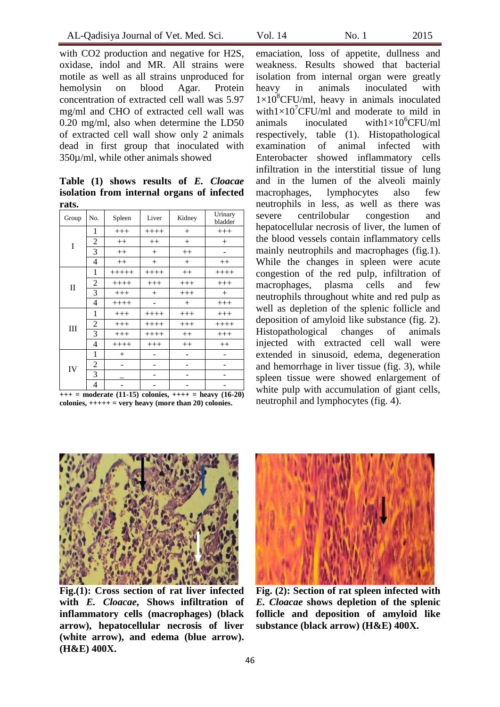with CO2 production and negative for H2S, oxidase, indol and MR. All strains were motile as well as all strains unproduced for hemolysin on blood Agar. Protein concentration of extracted cell wall was 5.97 mg/ml and CHO of extracted cell wall was 0.20 mg/ml, also when determine the LD50 of extracted cell wall show only 2 animals dead in first group that inoculated with 350µ/ml, while other animals showed

**Table (1) shows results of** *E. Cloacae* **isolation from internal organs of infected rats.**

| Group        | No.            | Spleen  | Liver    | Kidney  | Urinary<br>bladder |
|--------------|----------------|---------|----------|---------|--------------------|
| I            | 1              | $+++$   | $+++++$  | $^{+}$  | $+++$              |
|              | $\overline{2}$ | $++$    | $^{++}$  | $^{+}$  | $^{+}$             |
|              | 3              | $++$    | $^{+}$   | $++$    |                    |
|              | 4              | $++$    | $^{+}$   | $+$     | $++$               |
| $\mathbf{I}$ | 1              | $+++++$ | $+++++$  | $++$    | $++++$             |
|              | $\overline{c}$ | $+++++$ | $^{+++}$ | $+++$   | $+++$              |
|              | 3              | $+++$   | $^{+}$   | $+++$   | $^{+}$             |
|              | 4              | $++++$  |          | $^{+}$  | $+++$              |
| Ш            | 1              | $+++$   | $+++++$  | $+++$   | $+++$              |
|              | 2              | $+++$   | $+++++$  | $+++$   | $++++$             |
|              | 3              | $+++$   | $+++++$  | $++$    | $+++$              |
|              | 4              | $++++$  | $+++$    | $^{++}$ | $^{++}$            |
| IV           | 1              | $^{+}$  |          |         |                    |
|              | 2              |         |          |         |                    |
|              | 3              |         |          |         |                    |
|              | $\overline{4}$ |         |          |         |                    |

**+++ = moderate (11-15) colonies, ++++ = heavy (16-20) colonies, +++++ = very heavy (more than 20) colonies.**

emaciation, loss of appetite, dullness and weakness. Results showed that bacterial isolation from internal organ were greatly heavy in animals inoculated with  $1\times10^{8}$ CFU/ml, heavy in animals inoculated with $1\times10^{7}$ CFU/ml and moderate to mild in animals inoculated with $1\times10^{6}$ CFU/ml respectively, table (1). Histopathological examination of animal infected with Enterobacter showed inflammatory cells infiltration in the interstitial tissue of lung and in the lumen of the alveoli mainly macrophages, lymphocytes also few neutrophils in less, as well as there was severe centrilobular congestion and hepatocellular necrosis of liver, the lumen of the blood vessels contain inflammatory cells mainly neutrophils and macrophages (fig.1). While the changes in spleen were acute congestion of the red pulp, infiltration of macrophages, plasma cells and few neutrophils throughout white and red pulp as well as depletion of the splenic follicle and deposition of amyloid like substance (fig. 2). Histopathological changes of animals injected with extracted cell wall were extended in sinusoid, edema, degeneration and hemorrhage in liver tissue (fig. 3), while spleen tissue were showed enlargement of white pulp with accumulation of giant cells, neutrophil and lymphocytes (fig. 4).



**Fig.(1): Cross section of rat liver infected with** *E. Cloacae***, Shows infiltration of inflammatory cells (macrophages) (black arrow), hepatocellular necrosis of liver (white arrow), and edema (blue arrow). (H&E) 400X.** 



**Fig. (2): Section of rat spleen infected with** *E. Cloacae* **shows depletion of the splenic follicle and deposition of amyloid like substance (black arrow) (H&E) 400X.**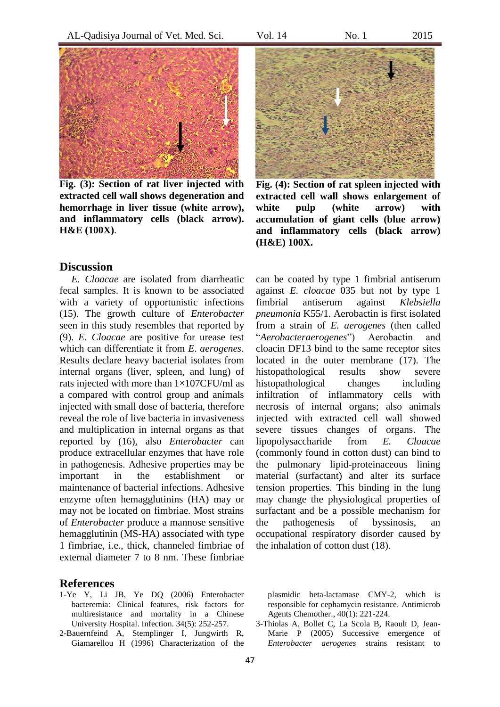

**Fig. (3): Section of rat liver injected with extracted cell wall shows degeneration and hemorrhage in liver tissue (white arrow), and inflammatory cells (black arrow). H&E (100X)**.

### **Discussion**

*E. Cloacae* are isolated from diarrheatic fecal samples. It is known to be associated with a variety of opportunistic infections (15). The growth culture of *Enterobacter* seen in this study resembles that reported by (9). *E. Cloacae* are positive for urease test which can differentiate it from *E*. *aerogenes*. Results declare heavy bacterial isolates from internal organs (liver, spleen, and lung) of rats injected with more than  $1\times107$ CFU/ml as a compared with control group and animals injected with small dose of bacteria, therefore reveal the role of live bacteria in invasiveness and multiplication in internal organs as that reported by (16), also *Enterobacter* can produce extracellular enzymes that have role in pathogenesis. Adhesive properties may be important in the establishment or maintenance of bacterial infections. Adhesive enzyme often hemagglutinins (HA) may or may not be located on fimbriae. Most strains of *Enterobacter* produce a mannose sensitive hemagglutinin (MS-HA) associated with type 1 fimbriae, i.e., thick, channeled fimbriae of external diameter 7 to 8 nm. These fimbriae

**Fig. (4): Section of rat spleen injected with extracted cell wall shows enlargement of white pulp (white arrow) with accumulation of giant cells (blue arrow) and inflammatory cells (black arrow) (H&E) 100X.**

can be coated by type 1 fimbrial antiserum against *E. cloacae* 035 but not by type 1 fimbrial antiserum against *Klebsiella pneumonia* K55/1. Aerobactin is first isolated from a strain of *E. aerogenes* (then called "*Aerobacteraerogenes*") Aerobactin and cloacin DF13 bind to the same receptor sites located in the outer membrane (17). The histopathological results show severe histopathological changes including infiltration of inflammatory cells with necrosis of internal organs; also animals injected with extracted cell wall showed severe tissues changes of organs. The lipopolysaccharide from *E. Cloacae* (commonly found in cotton dust) can bind to the pulmonary lipid-proteinaceous lining material (surfactant) and alter its surface tension properties. This binding in the lung may change the physiological properties of surfactant and be a possible mechanism for the pathogenesis of byssinosis, an occupational respiratory disorder caused by the inhalation of cotton dust (18).

# **References**

- 1-Ye Y, Li JB, Ye DQ (2006) Enterobacter bacteremia: Clinical features, risk factors for multiresistance and mortality in a Chinese University Hospital. Infection. 34(5): 252-257.
- 2-Bauernfeind A, Stemplinger I, Jungwirth R, Giamarellou H (1996) Characterization of the

plasmidic beta-lactamase CMY-2, which is responsible for cephamycin resistance. Antimicrob Agents Chemother., 40(1): 221-224.

3-Thiolas A, Bollet C, La Scola B, Raoult D, Jean-Marie P (2005) Successive emergence of *Enterobacter aerogenes* strains resistant to